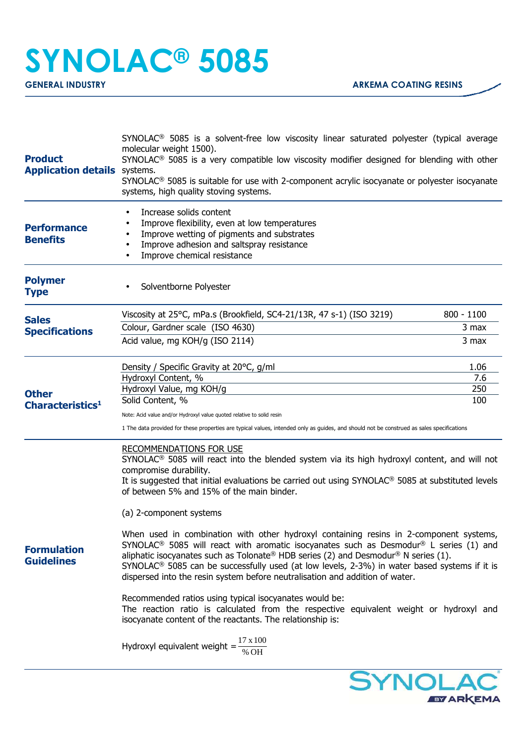# **SYNOLAC® 5085**

| <b>Product</b><br><b>Application details</b> systems. | SYNOLAC <sup>®</sup> 5085 is a solvent-free low viscosity linear saturated polyester (typical average<br>molecular weight 1500).<br>SYNOLAC <sup>®</sup> 5085 is a very compatible low viscosity modifier designed for blending with other<br>SYNOLAC <sup>®</sup> 5085 is suitable for use with 2-component acrylic isocyanate or polyester isocyanate<br>systems, high quality stoving systems.                                                                                                                                                                                                                                                                                                                                                                                                                                                                                                                                                                                                                                                                                                                                          |  |
|-------------------------------------------------------|--------------------------------------------------------------------------------------------------------------------------------------------------------------------------------------------------------------------------------------------------------------------------------------------------------------------------------------------------------------------------------------------------------------------------------------------------------------------------------------------------------------------------------------------------------------------------------------------------------------------------------------------------------------------------------------------------------------------------------------------------------------------------------------------------------------------------------------------------------------------------------------------------------------------------------------------------------------------------------------------------------------------------------------------------------------------------------------------------------------------------------------------|--|
| <b>Performance</b><br><b>Benefits</b>                 | Increase solids content<br>Improve flexibility, even at low temperatures<br>Improve wetting of pigments and substrates<br>Improve adhesion and saltspray resistance<br>Improve chemical resistance                                                                                                                                                                                                                                                                                                                                                                                                                                                                                                                                                                                                                                                                                                                                                                                                                                                                                                                                         |  |
| <b>Polymer</b><br><b>Type</b>                         | Solventborne Polyester                                                                                                                                                                                                                                                                                                                                                                                                                                                                                                                                                                                                                                                                                                                                                                                                                                                                                                                                                                                                                                                                                                                     |  |
| <b>Sales</b><br><b>Specifications</b>                 | Viscosity at 25°C, mPa.s (Brookfield, SC4-21/13R, 47 s-1) (ISO 3219)<br>$800 - 1100$<br>Colour, Gardner scale (ISO 4630)<br>3 max<br>Acid value, mg KOH/g (ISO 2114)<br>3 max                                                                                                                                                                                                                                                                                                                                                                                                                                                                                                                                                                                                                                                                                                                                                                                                                                                                                                                                                              |  |
| <b>Other</b><br>Characteristics <sup>1</sup>          | 1.06<br>Density / Specific Gravity at 20°C, g/ml<br>Hydroxyl Content, %<br>7.6<br>Hydroxyl Value, mg KOH/g<br>250<br>Solid Content, %<br>100<br>Note: Acid value and/or Hydroxyl value quoted relative to solid resin<br>1 The data provided for these properties are typical values, intended only as guides, and should not be construed as sales specifications                                                                                                                                                                                                                                                                                                                                                                                                                                                                                                                                                                                                                                                                                                                                                                         |  |
| <b>Formulation</b><br><b>Guidelines</b>               | <b>RECOMMENDATIONS FOR USE</b><br>$SYNOLAC®$ 5085 will react into the blended system via its high hydroxyl content, and will not<br>compromise durability.<br>It is suggested that initial evaluations be carried out using SYNOLAC <sup>®</sup> 5085 at substituted levels<br>of between 5% and 15% of the main binder.<br>(a) 2-component systems<br>When used in combination with other hydroxyl containing resins in 2-component systems,<br>SYNOLAC <sup>®</sup> 5085 will react with aromatic isocyanates such as Desmodur <sup>®</sup> L series (1) and<br>aliphatic isocyanates such as Tolonate® HDB series (2) and Desmodur® N series (1).<br>SYNOLAC <sup>®</sup> 5085 can be successfully used (at low levels, 2-3%) in water based systems if it is<br>dispersed into the resin system before neutralisation and addition of water.<br>Recommended ratios using typical isocyanates would be:<br>The reaction ratio is calculated from the respective equivalent weight or hydroxyl and<br>isocyanate content of the reactants. The relationship is:<br>Hydroxyl equivalent weight = $\frac{17 \times 100}{\gamma \sqrt{25}}$ |  |